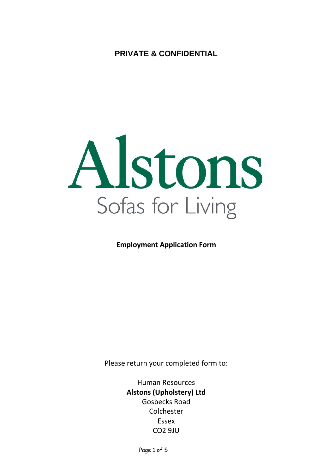**PRIVATE & CONFIDENTIAL**



**Employment Application Form**

Please return your completed form to:

Human Resources **Alstons (Upholstery) Ltd** Gosbecks Road Colchester Essex CO2 9JU

Page 1 of 5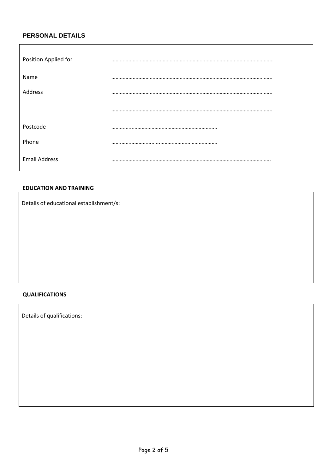# **PERSONAL DETAILS**

 $\mathbf{r}$ 

| Position Applied for |  |
|----------------------|--|
| Name                 |  |
| Address              |  |
|                      |  |
| Postcode             |  |
| Phone                |  |
| <b>Email Address</b> |  |

#### **EDUCATION AND TRAINING**

Details of educational establishment/s:

# **QUALIFICATIONS**

Details of qualifications: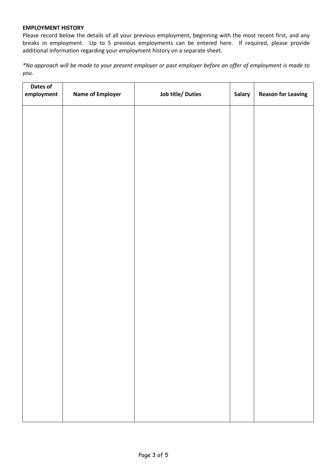### **EMPLOYMENT HISTORY**

Please record below the details of all your previous employment, beginning with the most recent first, and any breaks in employment. Up to 5 previous employments can be entered here. If required, please provide additional information regarding your employment history on a separate sheet.

*\*No approach will be made to your present employer or past employer before an offer of employment is made to you.*

| Dates of<br>employment | <b>Name of Employer</b> | Job title/ Duties | Salary | <b>Reason for Leaving</b> |
|------------------------|-------------------------|-------------------|--------|---------------------------|
|                        |                         |                   |        |                           |
|                        |                         |                   |        |                           |
|                        |                         |                   |        |                           |
|                        |                         |                   |        |                           |
|                        |                         |                   |        |                           |
|                        |                         |                   |        |                           |
|                        |                         |                   |        |                           |
|                        |                         |                   |        |                           |
|                        |                         |                   |        |                           |
|                        |                         |                   |        |                           |
|                        |                         |                   |        |                           |
|                        |                         |                   |        |                           |
|                        |                         |                   |        |                           |
|                        |                         |                   |        |                           |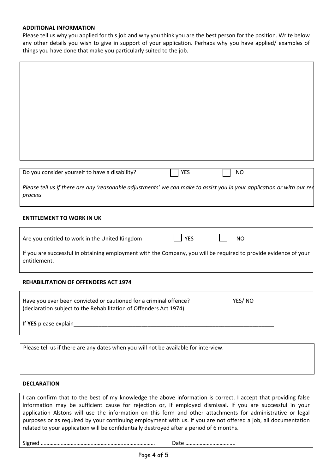#### **ADDITIONAL INFORMATION**

Please tell us why you applied for this job and why you think you are the best person for the position. Write below any other details you wish to give in support of your application. Perhaps why you have applied/ examples of things you have done that make you particularly suited to the job.

| Do you consider yourself to have a disability?<br><b>YES</b><br><b>NO</b>                                                                        |
|--------------------------------------------------------------------------------------------------------------------------------------------------|
| Please tell us if there are any 'reasonable adjustments' we can make to assist you in your application or with our red<br>process                |
| <b>ENTITLEMENT TO WORK IN UK</b>                                                                                                                 |
| <b>YES</b><br>Are you entitled to work in the United Kingdom<br><b>NO</b>                                                                        |
| If you are successful in obtaining employment with the Company, you will be required to provide evidence of your<br>entitlement.                 |
| <b>REHABILITATION OF OFFENDERS ACT 1974</b>                                                                                                      |
| Have you ever been convicted or cautioned for a criminal offence?<br>YES/NO<br>(declaration subject to the Rehabilitation of Offenders Act 1974) |
| If YES please explain                                                                                                                            |

Please tell us if there are any dates when you will not be available for interview.

#### **DECLARATION**

I can confirm that to the best of my knowledge the above information is correct. I accept that providing false information may be sufficient cause for rejection or, if employed dismissal. If you are successful in your application Alstons will use the information on this form and other attachments for administrative or legal purposes or as required by your continuing employment with us. If you are not offered a job, all documentation related to your application will be confidentially destroyed after a period of 6 months.

Signed …………………………………………………..………………… Date ……………………………..